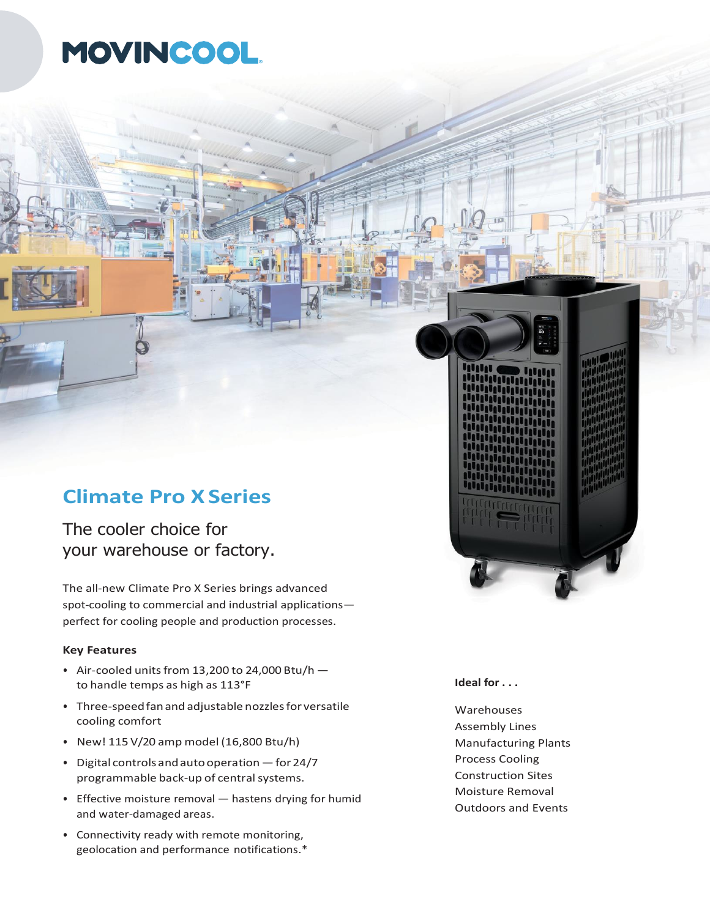## MOVINCOOL.

## **Climate Pro XSeries**

The cooler choice for your warehouse or factory.

The all-new Climate Pro X Series brings advanced spot-cooling to commercial and industrial applications perfect for cooling people and production processes.

## **Key Features**

- Air-cooled units from 13,200 to 24,000 Btu/h  $$ to handle temps as high as 113°F
- Three-speedfanand adjustable nozzlesfor versatile cooling comfort
- New! 115 V/20 amp model (16,800 Btu/h)
- Digital controlsandautooperation —for 24/7 programmable back-up of central systems.
- Effective moisture removal hastens drying for humid and water-damaged areas.
- Connectivity ready with remote monitoring, geolocation and performance notifications.\*

**Ideal for . . .**

Warehouses Assembly Lines Manufacturing Plants Process Cooling Construction Sites Moisture Removal Outdoors and Events